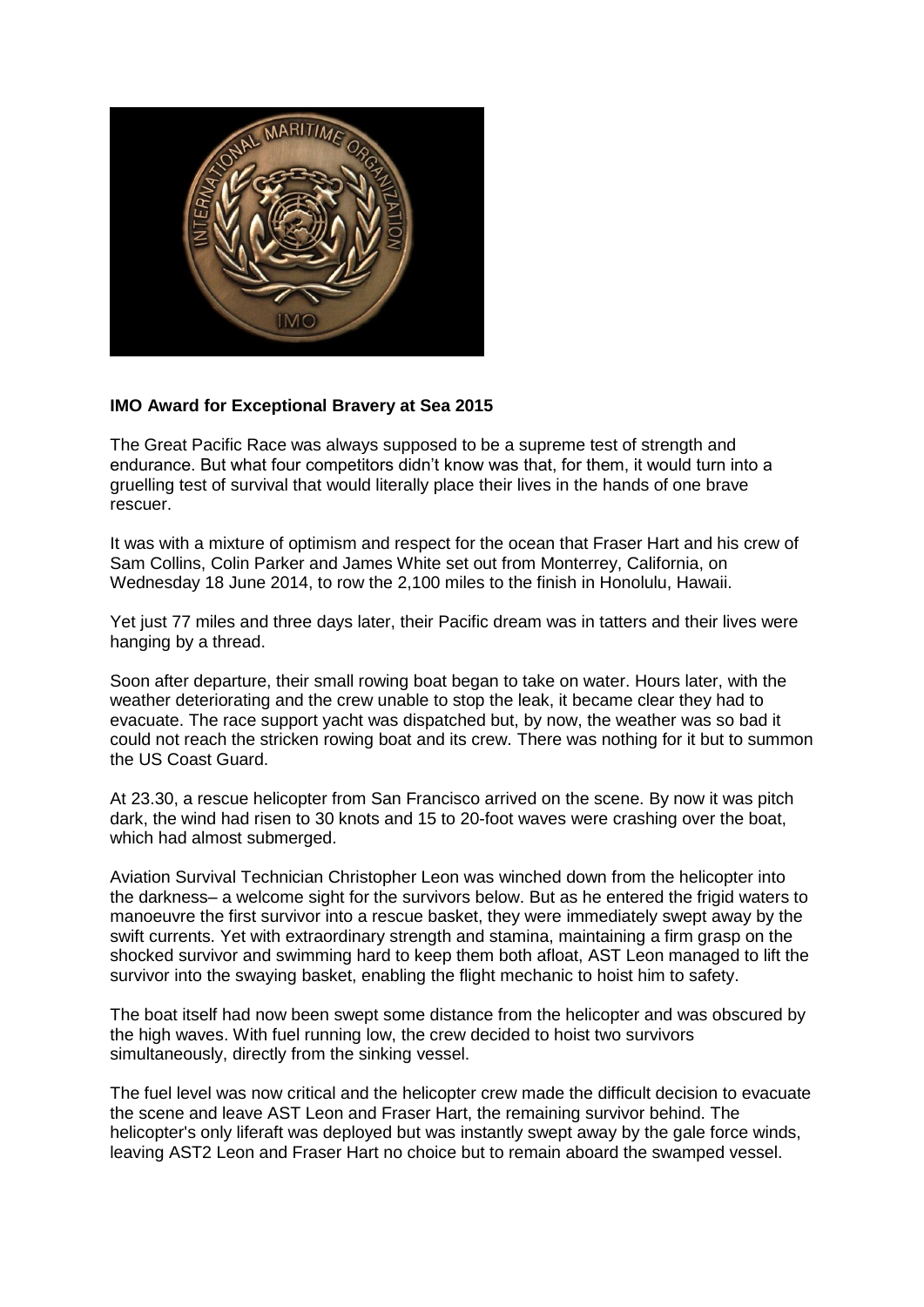

## **IMO Award for Exceptional Bravery at Sea 2015**

The Great Pacific Race was always supposed to be a supreme test of strength and endurance. But what four competitors didn't know was that, for them, it would turn into a gruelling test of survival that would literally place their lives in the hands of one brave rescuer.

It was with a mixture of optimism and respect for the ocean that Fraser Hart and his crew of Sam Collins, Colin Parker and James White set out from Monterrey, California, on Wednesday 18 June 2014, to row the 2,100 miles to the finish in Honolulu, Hawaii.

Yet just 77 miles and three days later, their Pacific dream was in tatters and their lives were hanging by a thread.

Soon after departure, their small rowing boat began to take on water. Hours later, with the weather deteriorating and the crew unable to stop the leak, it became clear they had to evacuate. The race support yacht was dispatched but, by now, the weather was so bad it could not reach the stricken rowing boat and its crew. There was nothing for it but to summon the US Coast Guard.

At 23.30, a rescue helicopter from San Francisco arrived on the scene. By now it was pitch dark, the wind had risen to 30 knots and 15 to 20-foot waves were crashing over the boat, which had almost submerged.

Aviation Survival Technician Christopher Leon was winched down from the helicopter into the darkness– a welcome sight for the survivors below. But as he entered the frigid waters to manoeuvre the first survivor into a rescue basket, they were immediately swept away by the swift currents. Yet with extraordinary strength and stamina, maintaining a firm grasp on the shocked survivor and swimming hard to keep them both afloat, AST Leon managed to lift the survivor into the swaying basket, enabling the flight mechanic to hoist him to safety.

The boat itself had now been swept some distance from the helicopter and was obscured by the high waves. With fuel running low, the crew decided to hoist two survivors simultaneously, directly from the sinking vessel.

The fuel level was now critical and the helicopter crew made the difficult decision to evacuate the scene and leave AST Leon and Fraser Hart, the remaining survivor behind. The helicopter's only liferaft was deployed but was instantly swept away by the gale force winds, leaving AST2 Leon and Fraser Hart no choice but to remain aboard the swamped vessel.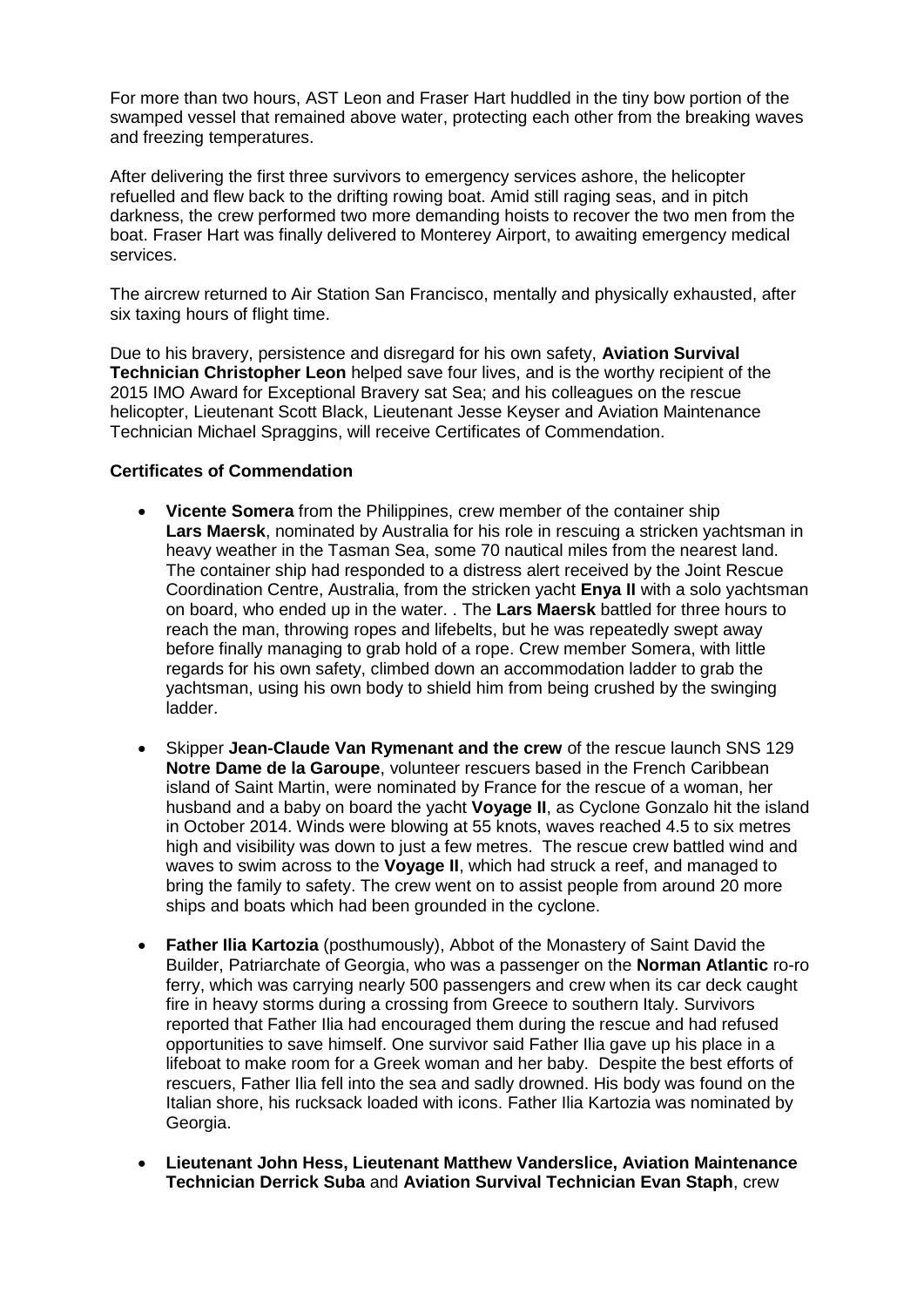For more than two hours, AST Leon and Fraser Hart huddled in the tiny bow portion of the swamped vessel that remained above water, protecting each other from the breaking waves and freezing temperatures.

After delivering the first three survivors to emergency services ashore, the helicopter refuelled and flew back to the drifting rowing boat. Amid still raging seas, and in pitch darkness, the crew performed two more demanding hoists to recover the two men from the boat. Fraser Hart was finally delivered to Monterey Airport, to awaiting emergency medical services.

The aircrew returned to Air Station San Francisco, mentally and physically exhausted, after six taxing hours of flight time.

Due to his bravery, persistence and disregard for his own safety, **Aviation Survival Technician Christopher Leon** helped save four lives, and is the worthy recipient of the 2015 IMO Award for Exceptional Bravery sat Sea; and his colleagues on the rescue helicopter, Lieutenant Scott Black, Lieutenant Jesse Keyser and Aviation Maintenance Technician Michael Spraggins, will receive Certificates of Commendation.

## **Certificates of Commendation**

- **Vicente Somera** from the Philippines, crew member of the container ship **Lars Maersk**, nominated by Australia for his role in rescuing a stricken yachtsman in heavy weather in the Tasman Sea, some 70 nautical miles from the nearest land. The container ship had responded to a distress alert received by the Joint Rescue Coordination Centre, Australia, from the stricken yacht **Enya II** with a solo yachtsman on board, who ended up in the water. . The **Lars Maersk** battled for three hours to reach the man, throwing ropes and lifebelts, but he was repeatedly swept away before finally managing to grab hold of a rope. Crew member Somera, with little regards for his own safety, climbed down an accommodation ladder to grab the yachtsman, using his own body to shield him from being crushed by the swinging ladder.
- Skipper **Jean-Claude Van Rymenant and the crew** of the rescue launch SNS 129 **Notre Dame de la Garoupe**, volunteer rescuers based in the French Caribbean island of Saint Martin, were nominated by France for the rescue of a woman, her husband and a baby on board the yacht **Voyage II**, as Cyclone Gonzalo hit the island in October 2014. Winds were blowing at 55 knots, waves reached 4.5 to six metres high and visibility was down to just a few metres. The rescue crew battled wind and waves to swim across to the **Voyage II**, which had struck a reef, and managed to bring the family to safety. The crew went on to assist people from around 20 more ships and boats which had been grounded in the cyclone.
- **Father Ilia Kartozia** (posthumously), Abbot of the Monastery of Saint David the Builder, Patriarchate of Georgia, who was a passenger on the **Norman Atlantic** ro-ro ferry, which was carrying nearly 500 passengers and crew when its car deck caught fire in heavy storms during a crossing from Greece to southern Italy. Survivors reported that Father Ilia had encouraged them during the rescue and had refused opportunities to save himself. One survivor said Father Ilia gave up his place in a lifeboat to make room for a Greek woman and her baby. Despite the best efforts of rescuers, Father Ilia fell into the sea and sadly drowned. His body was found on the Italian shore, his rucksack loaded with icons. Father Ilia Kartozia was nominated by Georgia.
- **Lieutenant John Hess, Lieutenant Matthew Vanderslice, Aviation Maintenance Technician Derrick Suba** and **Aviation Survival Technician Evan Staph**, crew